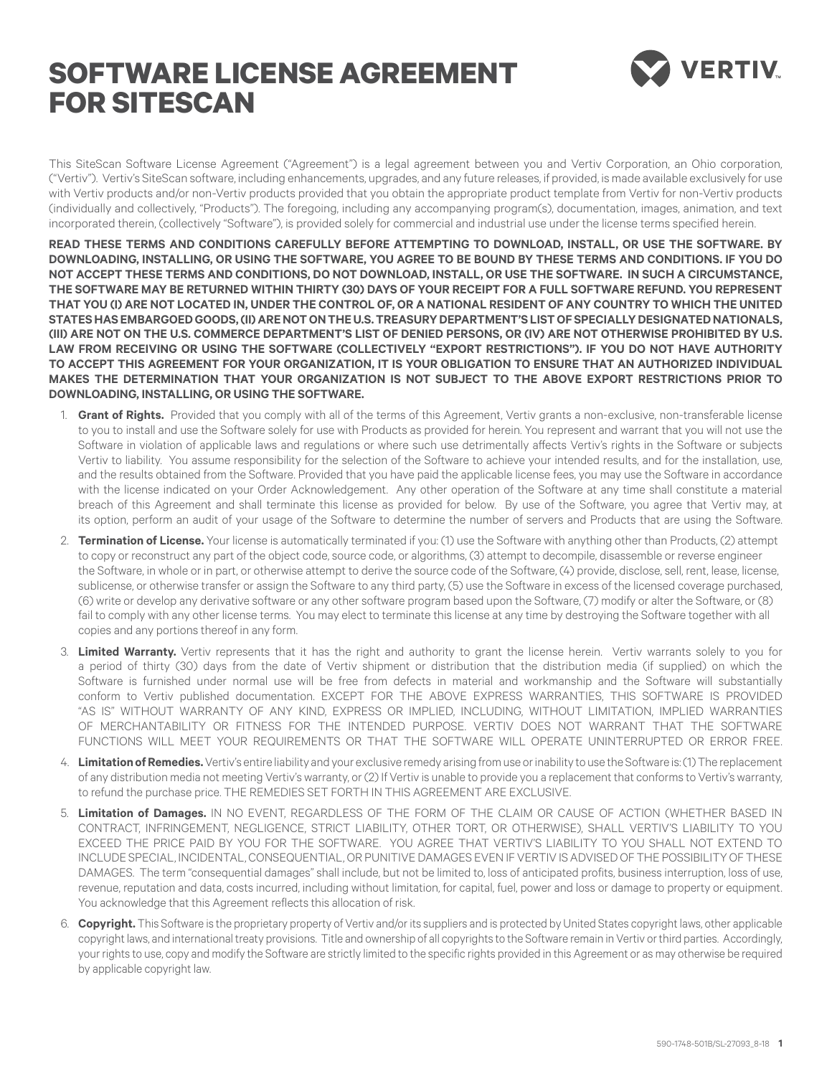## **SOFTWARE license agreement for SITESCAN**



This SiteScan Software License Agreement ("Agreement") is a legal agreement between you and Vertiv Corporation, an Ohio corporation, ("Vertiv"). Vertiv's SiteScan software, including enhancements, upgrades, and any future releases, if provided, is made available exclusively for use with Vertiv products and/or non-Vertiv products provided that you obtain the appropriate product template from Vertiv for non-Vertiv products (individually and collectively, "Products"). The foregoing, including any accompanying program(s), documentation, images, animation, and text incorporated therein, (collectively "Software"), is provided solely for commercial and industrial use under the license terms specified herein.

**READ THESE TERMS AND CONDITIONS CAREFULLY BEFORE ATTEMPTING TO DOWNLOAD, INSTALL, OR USE THE SOFTWARE. BY DOWNLOADING, INSTALLING, OR USING THE SOFTWARE, YOU AGREE TO BE BOUND BY THESE TERMS AND CONDITIONS. IF YOU DO NOT ACCEPT THESE TERMS AND CONDITIONS, DO NOT DOWNLOAD, INSTALL, OR USE THE SOFTWARE. IN SUCH A CIRCUMSTANCE, THE SOFTWARE MAY BE RETURNED WITHIN THIRTY (30) DAYS OF YOUR RECEIPT FOR A FULL SOFTWARE REFUND. YOU REPRESENT THAT YOU (I) ARE NOT LOCATED IN, UNDER THE CONTROL OF, OR A NATIONAL RESIDENT OF ANY COUNTRY TO WHICH THE UNITED STATES HAS EMBARGOED GOODS, (II) ARE NOT ON THE U.S. TREASURY DEPARTMENT'S LIST OF SPECIALLY DESIGNATED NATIONALS, (III) ARE NOT ON THE U.S. COMMERCE DEPARTMENT'S LIST OF DENIED PERSONS, OR (IV) ARE NOT OTHERWISE PROHIBITED BY U.S. LAW FROM RECEIVING OR USING THE SOFTWARE (COLLECTIVELY "EXPORT RESTRICTIONS"). IF YOU DO NOT HAVE AUTHORITY TO ACCEPT THIS AGREEMENT FOR YOUR ORGANIZATION, IT IS YOUR OBLIGATION TO ENSURE THAT AN AUTHORIZED INDIVIDUAL MAKES THE DETERMINATION THAT YOUR ORGANIZATION IS NOT SUBJECT TO THE ABOVE EXPORT RESTRICTIONS PRIOR TO DOWNLOADING, INSTALLING, OR USING THE SOFTWARE.**

- 1. **Grant of Rights.** Provided that you comply with all of the terms of this Agreement, Vertiv grants a non-exclusive, non-transferable license to you to install and use the Software solely for use with Products as provided for herein. You represent and warrant that you will not use the Software in violation of applicable laws and regulations or where such use detrimentally affects Vertiv's rights in the Software or subjects Vertiv to liability. You assume responsibility for the selection of the Software to achieve your intended results, and for the installation, use, and the results obtained from the Software. Provided that you have paid the applicable license fees, you may use the Software in accordance with the license indicated on your Order Acknowledgement. Any other operation of the Software at any time shall constitute a material breach of this Agreement and shall terminate this license as provided for below. By use of the Software, you agree that Vertiv may, at its option, perform an audit of your usage of the Software to determine the number of servers and Products that are using the Software.
- 2. **Termination of License.** Your license is automatically terminated if you: (1) use the Software with anything other than Products, (2) attempt to copy or reconstruct any part of the object code, source code, or algorithms, (3) attempt to decompile, disassemble or reverse engineer the Software, in whole or in part, or otherwise attempt to derive the source code of the Software, (4) provide, disclose, sell, rent, lease, license, sublicense, or otherwise transfer or assign the Software to any third party, (5) use the Software in excess of the licensed coverage purchased, (6) write or develop any derivative software or any other software program based upon the Software, (7) modify or alter the Software, or (8) fail to comply with any other license terms. You may elect to terminate this license at any time by destroying the Software together with all copies and any portions thereof in any form.
- 3. **Limited Warranty.** Vertiv represents that it has the right and authority to grant the license herein. Vertiv warrants solely to you for a period of thirty (30) days from the date of Vertiv shipment or distribution that the distribution media (if supplied) on which the Software is furnished under normal use will be free from defects in material and workmanship and the Software will substantially conform to Vertiv published documentation. EXCEPT FOR THE ABOVE EXPRESS WARRANTIES, THIS SOFTWARE IS PROVIDED "AS IS" WITHOUT WARRANTY OF ANY KIND, EXPRESS OR IMPLIED, INCLUDING, WITHOUT LIMITATION, IMPLIED WARRANTIES OF MERCHANTABILITY OR FITNESS FOR THE INTENDED PURPOSE. VERTIV DOES NOT WARRANT THAT THE SOFTWARE FUNCTIONS WILL MEET YOUR REQUIREMENTS OR THAT THE SOFTWARE WILL OPERATE UNINTERRUPTED OR ERROR FREE.
- 4. **Limitation of Remedies.** Vertiv's entire liability and your exclusive remedy arising from use or inability to use the Software is: (1) The replacement of any distribution media not meeting Vertiv's warranty, or (2) If Vertiv is unable to provide you a replacement that conforms to Vertiv's warranty, to refund the purchase price. THE REMEDIES SET FORTH IN THIS AGREEMENT ARE EXCLUSIVE.
- 5. **Limitation of Damages.** IN NO EVENT, REGARDLESS OF THE FORM OF THE CLAIM OR CAUSE OF ACTION (WHETHER BASED IN CONTRACT, INFRINGEMENT, NEGLIGENCE, STRICT LIABILITY, OTHER TORT, OR OTHERWISE), SHALL VERTIV'S LIABILITY TO YOU EXCEED THE PRICE PAID BY YOU FOR THE SOFTWARE. YOU AGREE THAT VERTIV'S LIABILITY TO YOU SHALL NOT EXTEND TO INCLUDE SPECIAL, INCIDENTAL, CONSEQUENTIAL, OR PUNITIVE DAMAGES EVEN IF VERTIV IS ADVISED OF THE POSSIBILITY OF THESE DAMAGES. The term "consequential damages" shall include, but not be limited to, loss of anticipated profits, business interruption, loss of use, revenue, reputation and data, costs incurred, including without limitation, for capital, fuel, power and loss or damage to property or equipment. You acknowledge that this Agreement reflects this allocation of risk.
- 6. **Copyright.** This Software is the proprietary property of Vertiv and/or its suppliers and is protected by United States copyright laws, other applicable copyright laws, and international treaty provisions. Title and ownership of all copyrights to the Software remain in Vertiv or third parties. Accordingly, your rights to use, copy and modify the Software are strictly limited to the specific rights provided in this Agreement or as may otherwise be required by applicable copyright law.